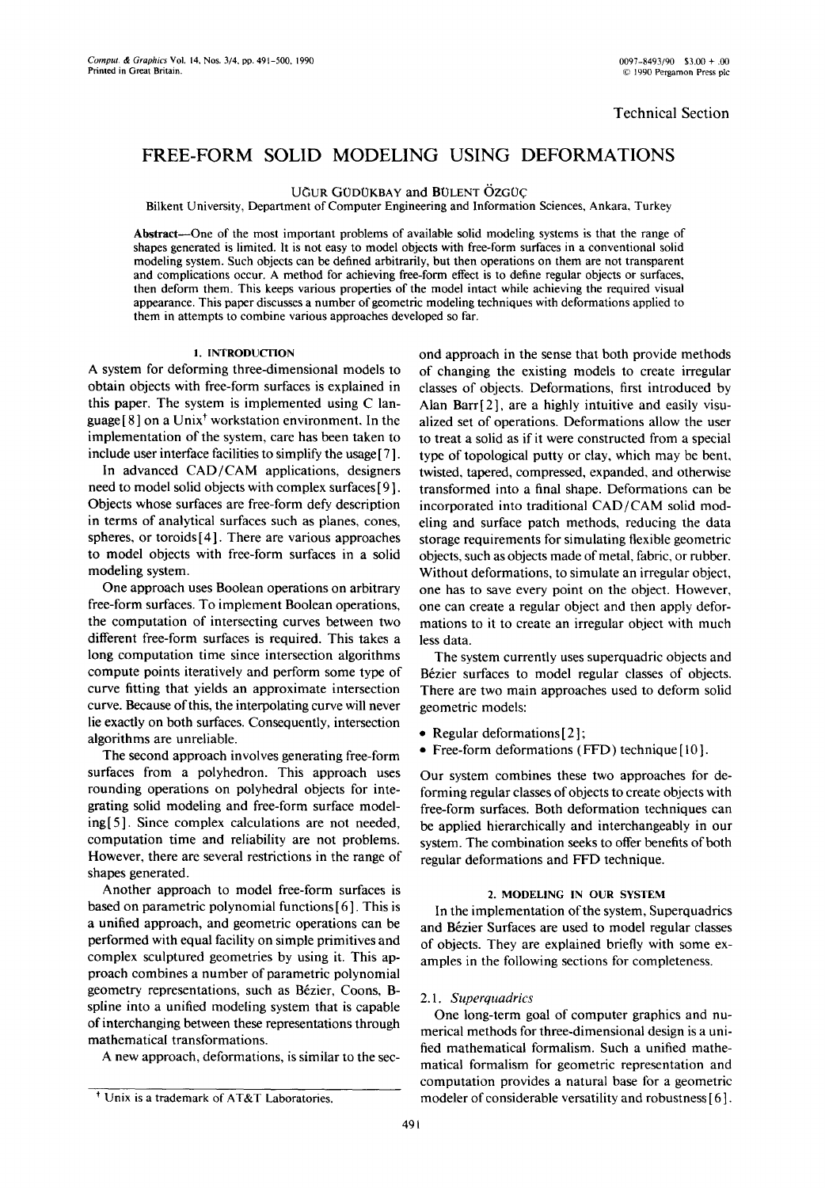# FREE-FORM SOLID MODELING USING DEFORMATIONS

UĞUR GÜDÜKBAY and BÜLENT ÖZGÜÇ

Bilkent University, Department of Computer Engineering and Information Sciences, Ankara, Turkey

**Abstract--One** of the most important problems of available solid modeling systems is that the range of shapes generated is limited. It is not easy to model objects with free-form surfaces in a conventional solid modeling system. Such objects can be defined arbitrarily, but then operations on them are not transparent and complications occur. A method for achieving free-form effect is to define regular objects or surfaces, then deform them. This keeps various properties of the model intact while achieving the required visual appearance. This paper discusses a number of geometric modeling techniques with deformations applied to them in attempts to combine various approaches developed so far.

## 1. INTRODUCTION

A system for deforming three-dimensional models to obtain objects with free-form surfaces is explained in this paper. The system is implemented using C language  $[8]$  on a Unix<sup>†</sup> workstation environment. In the implementation of the system, care has been taken to include user interface facilities to simplify the usage [ 7 ].

In advanced CAD/CAM applications, designers need to model solid objects with complex surfaces [ 9 ]. Objects whose surfaces are free-form defy description in terms of analytical surfaces such as planes, cones, spheres, or toroids[4]. There are various approaches to model objects with free-form surfaces in a solid modeling system.

One approach uses Boolean operations on arbitrary free-form surfaces. To implement Boolean operations, the computation of intersecting curves between two different free-form surfaces is required. This takes a long computation time since intersection algorithms compute points iteratively and perform some type of curve fitting that yields an approximate intersection curve. Because of this, the interpolating curve will never lie exactly on both surfaces. Consequently, intersection algorithms are unreliable.

The second approach involves generating free-form surfaces from a polyhedron. This approach uses rounding operations on polyhedral objects for integrating solid modeling and free-form surface modeling[5]. Since complex calculations are not needed, computation time and reliability are not problems. However, there are several restrictions in the range of shapes generated.

Another approach to model free-form surfaces is based on parametric polynomial functions [ 6 ]. This is a unified approach, and geometric operations can be performed with equal facility on simple primitives and complex sculptured geometries by using it. This approach combines a number of parametric polynomial geometry representations, such as Bézier, Coons, Bspline into a unified modeling system that is capable of interchanging between these representations through mathematical transformations.

A new approach, deformations, is similar to the sec-

ond approach in the sense that both provide methods of changing the existing models to create irregular classes of objects. Deformations, first introduced by Alan Barr[2], are a highly intuitive and easily visualized set of operations. Deformations allow the user to treat a solid as if it were constructed from a special type of topological putty or clay, which may be bent, twisted, tapered, compressed, expanded, and otherwise transformed into a final shape. Deformations can be incorporated into traditional CAD/CAM solid modeling and surface patch methods, reducing the data storage requirements for simulating flexible geometric objects, such as objects made of metal, fabric, or rubber. Without deformations, to simulate an irregular object, one has to save every point on the object. However, one can create a regular object and then apply deformations to it to create an irregular object with much less data.

The system currently uses superquadric objects and Bézier surfaces to model regular classes of objects. There are two main approaches used to deform solid geometric models:

- Regular deformations [2];
- Free-form deformations (FFD) technique [10].

Our system combines these two approaches for deforming regular classes of objects to create objects with free-form surfaces. Both deformation techniques can be applied hierarchically and interchangeably in our system. The combination seeks to offer benefits of both regular deformations and FFD technique.

# 2. MODELING IN OUR SYSTEM

In the implementation of the system, Superquadrics and Bézier Surfaces are used to model regular classes of objects. They are explained briefly with some examples in the following sections for completeness.

# *2.1. Superquadrics*

One long-term goal of computer graphics and numerical methods for three-dimensional design is a unified mathematical formalism. Such a unified mathematical formalism for geometric representation and computation provides a natural base for a geometric modeler of considerable versatility and robustness [ 6 ].

<sup>\*</sup> Unix is a trademark of AT&T Laboratories.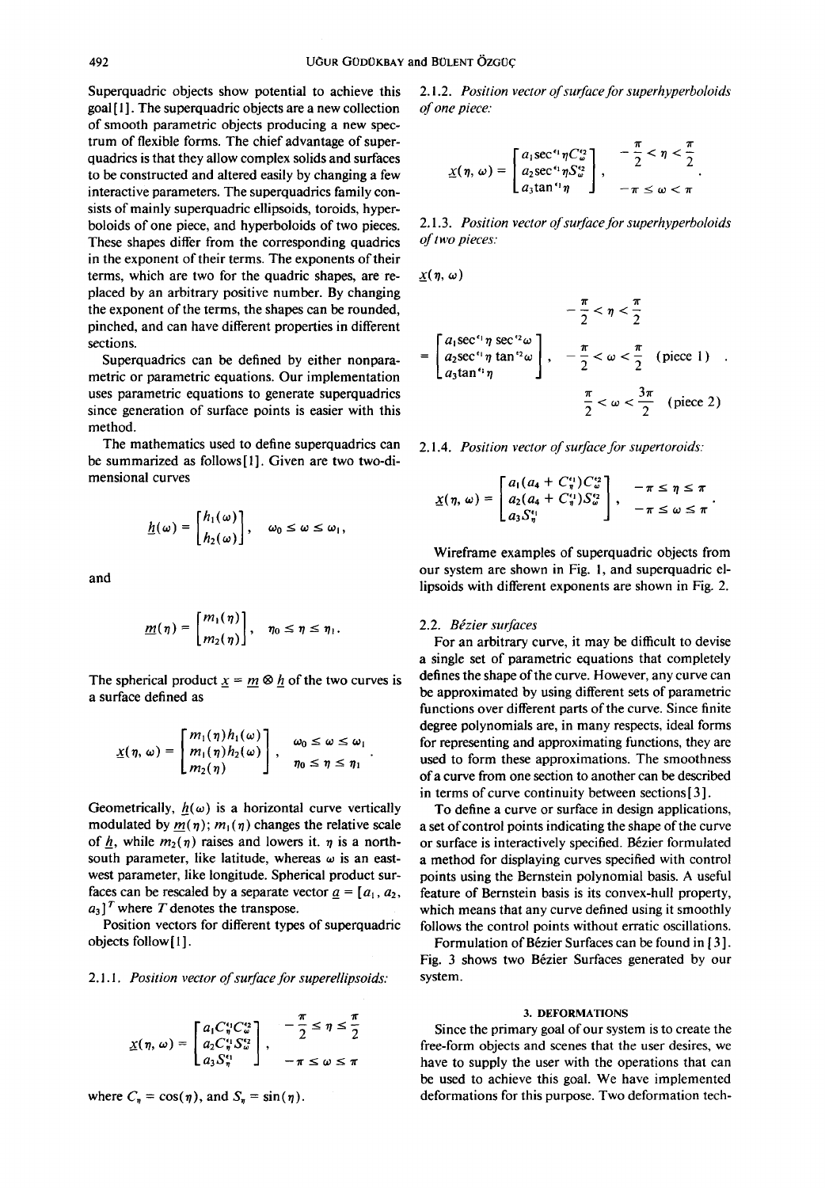Superquadric objects show potential to achieve this goal [ 1 ]. The superquadric objects are a new collection of smooth parametric objects producing a new spectrum of flexible forms. The chief advantage of superquadrics is that they allow complex solids and surfaces to be constructed and altered easily by changing a few interactive parameters. The superquadrics family consists of mainly superquadric ellipsoids, toroids, hyperboloids of one piece, and hyperboioids of two pieces. These shapes differ from the corresponding quadrics in the exponent of their terms. The exponents of their terms, which are two for the quadric shapes, are replaced by an arbitrary positive number. By changing the exponent of the terms, the shapes can be rounded, pinched, and can have different properties in different sections.

Superquadrics can be defined by either nonparametric or parametric equations. Our implementation uses parametric equations to generate superquadrics since generation of surface points is easier with this method.

The mathematics used to define superquadrics can be summarized as follows[l]. Given are two two-dimensional curves

$$
\underline{h}(\omega) = \begin{bmatrix} h_1(\omega) \\ h_2(\omega) \end{bmatrix}, \quad \omega_0 \leq \omega \leq \omega_1,
$$

and

$$
\underline{m}(\eta) = \begin{bmatrix} m_1(\eta) \\ m_2(\eta) \end{bmatrix}, \quad \eta_0 \leq \eta \leq \eta_1.
$$

The spherical product  $x = m \otimes h$  of the two curves is a surface defined as

$$
\underline{x}(\eta, \omega) = \begin{bmatrix} m_1(\eta)h_1(\omega) \\ m_1(\eta)h_2(\omega) \\ m_2(\eta) \end{bmatrix}, \quad \omega_0 \leq \omega \leq \omega_1 \\ \eta_0 \leq \eta \leq \eta_1
$$

Geometrically,  $h(\omega)$  is a horizontal curve vertically modulated by  $m(\eta)$ ;  $m_1(\eta)$  changes the relative scale of  $h$ , while  $m_2(\eta)$  raises and lowers it.  $\eta$  is a northsouth parameter, like latitude, whereas  $\omega$  is an eastwest parameter, like longitude. Spherical product surfaces can be rescaled by a separate vector  $\underline{a} = [a_1, a_2,$  $a_3$ ]<sup>T</sup> where T denotes the transpose.

Position vectors for different types of superquadric objects follow [ 1 ].

#### *2.1. I. Position vector of surface for superellipsoids."*

$$
\underline{x}(\eta, \omega) = \begin{bmatrix} a_1 C_{\eta}^{t_1} C_{\omega}^{t_2} \\ a_2 C_{\eta}^{t_1} S_{\omega}^{t_2} \\ a_3 S_{\eta}^{t_1} \end{bmatrix}, \quad \frac{-\frac{\pi}{2} \leq \eta \leq \frac{\pi}{2}}{-\pi \leq \omega \leq \pi}
$$

where 
$$
C_{\eta} = \cos(\eta)
$$
, and  $S_{\eta} = \sin(\eta)$ .

2. i.2. *Position vector of surface for superhyperboloids of one piece."* 

$$
\underline{x}(\eta, \omega) = \begin{bmatrix} a_1 \sec^{\alpha_1} \eta C_{\omega}^{\alpha_2} \\ a_2 \sec^{\alpha_1} \eta S_{\omega}^{\alpha_2} \\ a_3 \tan^{\alpha_1} \eta \end{bmatrix}, \quad \frac{-\frac{\pi}{2} < \eta < \frac{\pi}{2}}{-\pi \leq \omega < \pi}.
$$

2.1.3. *Position vector of surface for superhyperboloids of two pieces."* 

 $\underline{x}(\eta, \omega)$ 

$$
-\frac{\pi}{2} < \eta < \frac{\pi}{2}
$$
\n
$$
= \begin{bmatrix} a_1 \sec^{\alpha_1} \eta & \sec^{\alpha_2} \omega \\ a_2 \sec^{\alpha_1} \eta & \tan^{\alpha_2} \omega \\ a_3 \tan^{\alpha_1} \eta & \frac{\pi}{2} < \omega < \frac{\pi}{2} \end{bmatrix} \quad \text{(piece 1)}
$$
\n
$$
\frac{\pi}{2} < \omega < \frac{3\pi}{2} \quad \text{(piece 2)}
$$

#### 2.1.4. *Position vector of surface for supertoroids:*

$$
\underline{x}(\eta, \omega) = \begin{bmatrix} a_1(a_4 + C_{\eta}^{i_1}) C_{\omega}^{i_2} \\ a_2(a_4 + C_{\eta}^{i_1}) S_{\omega}^{i_2} \\ a_3 S_{\eta}^{i_1} \end{bmatrix}, \quad -\pi \leq \eta \leq \pi
$$

Wireframe examples of superquadric objects from our system are shown in Fig. I, and superquadric ellipsoids with different exponents are shown in Fig. 2.

#### 2.2. *Bézier surfaces*

For an arbitrary curve, it may be difficult to devise a single set of parametric equations that completely defines the shape of the curve. However, any curve can be approximated by using different sets of parametric functions over different parts of the curve. Since finite degree polynomials are, in many respects, ideal forms for representing and approximating functions, they are used to form these approximations. The smoothness of a curve from one section to another can be described in terms of curve continuity between sections [ 3 ].

To define a curve or surface in design applications, a set of control points indicating the shape of the curve or surface is interactively specified. Bézier formulated a method for displaying curves specified with control points using the Bernstein polynomial basis. A useful feature of Bernstein basis is its convex-hull property, which means that any curve defined using it smoothly follows the control points without erratic oscillations.

Formulation of Bézier Surfaces can be found in [3]. Fig. 3 shows two Bézier Surfaces generated by our system.

#### 3. DEFORMATIONS

Since the primary goal of our system is to create the free-form objects and scenes that the user desires, we have to supply the user with the operations that can be used to achieve this goal. We have implemented deformations for this purpose. Two deformation tech-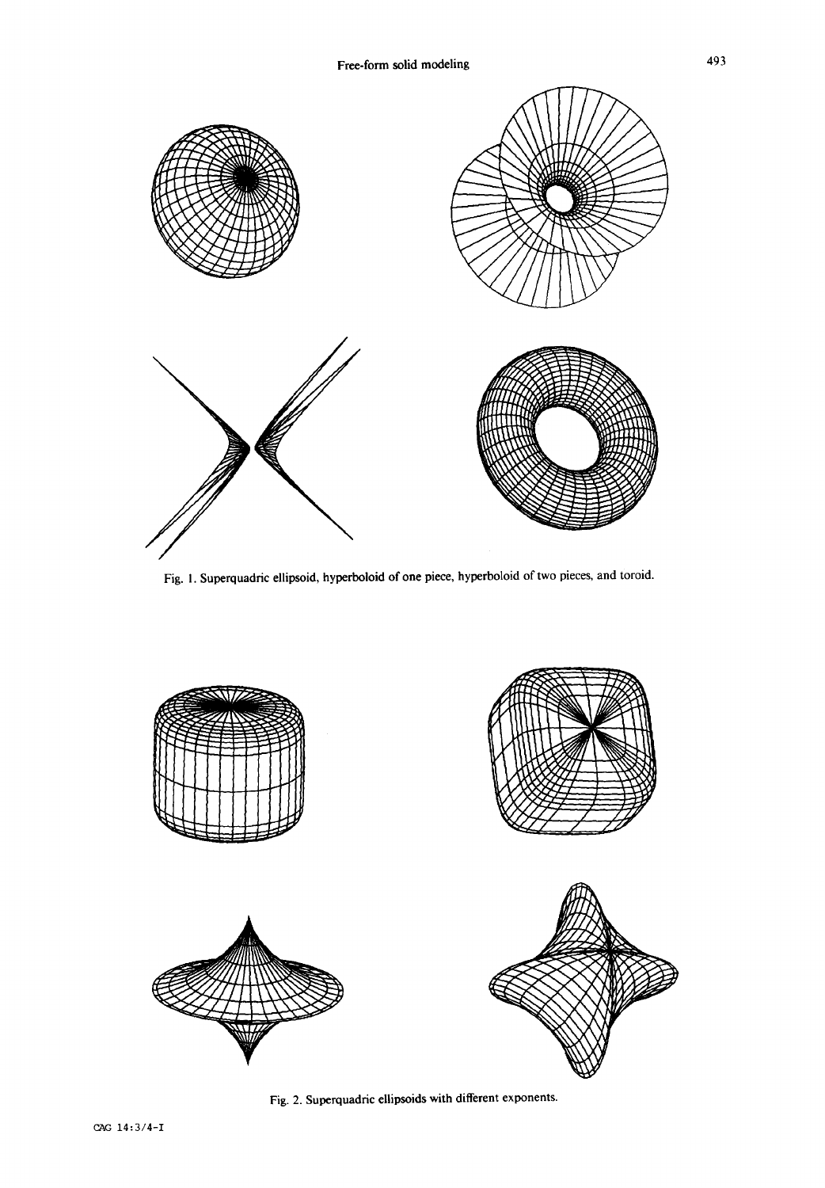

Fig. 1. Superquadric ellipsoid, hyperboloid of one piece, hyperboloid of two pieces, and toroid.



Fig. 2. Superquadric ellipsoids with different exponents.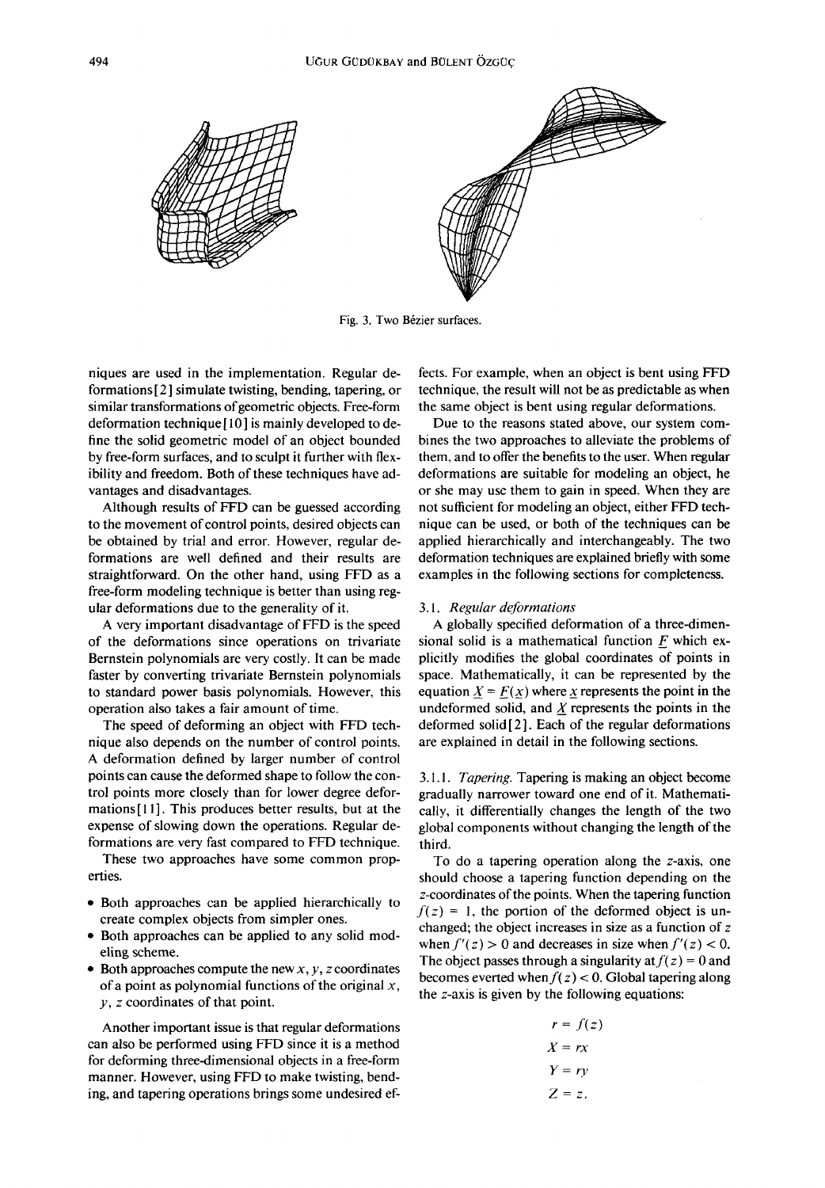

Fig. 3. Two Bézier surfaces.

niques are used in the implementation. Regular deformations [ 2 ] simulate twisting, bending, tapering, or similar transformations of geometric objects. Free-form deformation technique [10] is mainly developed to define the solid geometric model of an object bounded by free-form surfaces, and to sculpt it further with flexibility and freedom. Both of these techniques have advantages and disadvantages.

Although results of FFD can be guessed according to the movement of control points, desired objects can be obtained by trial and error. However, regular deformations are well defined and their results are straightforward. On the other hand, using FFD as a free-form modeling technique is better than using regular deformations due to the generality of it.

A very important disadvantage of FFD is the speed of the deformations since operations on trivariate Bernstein polynomials are very costly. It can be made faster by converting trivariate Bernstein polynomials to standard power basis polynomials. However, this operation also takes a fair amount of time.

The speed of deforming an object with FFD technique also depends on the number of control points. A deformation defined by larger number of control points can cause the deformed shape to follow the control points more closely than for lower degree deformations[11]. This produces better results, but at the expense of slowing down the operations. Regular deformations are very fast compared to FFD technique.

These two approaches have some common properties.

- Both approaches can be applied hierarchically to create complex objects from simpler ones,
- Both approaches can be applied to any solid modeling scheme.
- Both approaches compute the new  $x, y, z$  coordinates of a point as polynomial functions of the original  $x$ , y, z coordinates of that point.

Another important issue is that regular deformations can also be performed using FFD since it is a method for deforming three-dimensional objects in a free-form manner. However, using *FFD* to make twisting, bending, and tapering operations brings some undesired effects. For example, when an object is bent using FFD technique, the result will not be as predictable as when the same object is bent using regular deformations.

Due to the reasons stated above, our system combines the two approaches to alleviate the problems of them, and to offer the benefits to the user. When regular deformations are suitable for modeling an object, he or she may use them to gain in speed. When they are not sufficient for modeling an object, either FFD technique can be used, or both of the techniques can be applied hierarchically and interchangeably. The two deformation techniques are explained briefly with some examples in the following sections for completeness.

## *3.1. Regular deformations*

A globally specified deformation of a three-dimensional solid is a mathematical function  $F$  which explicitly modifies the global coordinates of points in space. Mathematically, it can be represented by the equation  $\underline{X} = \underline{F}(\underline{x})$  where  $\underline{x}$  represents the point in the undeformed solid, and  $X$  represents the points in the deformed solid $[2]$ . Each of the regular deformations are explained in detail in the following sections.

*3.1.1. Tapering.* Tapering is making an object become gradually narrower toward one end of it. Mathematically, it differentially changes the length of the two global components without changing the length of the third.

To do a tapering operation along the z-axis, one should choose a tapering function depending on the z-coordinates of the points. When the tapering function  $f(z) = 1$ , the portion of the deformed object is unchanged; the object increases in size as a function of z when  $f'(z) > 0$  and decreases in size when  $f'(z) < 0$ . The object passes through a singularity at  $f(z) = 0$  and becomes everted when  $f(z) < 0$ . Global tapering along the z-axis is given by the following equations:

$$
r = f(z)
$$
  

$$
X = rx
$$
  

$$
Y = ry
$$
  

$$
Z = z.
$$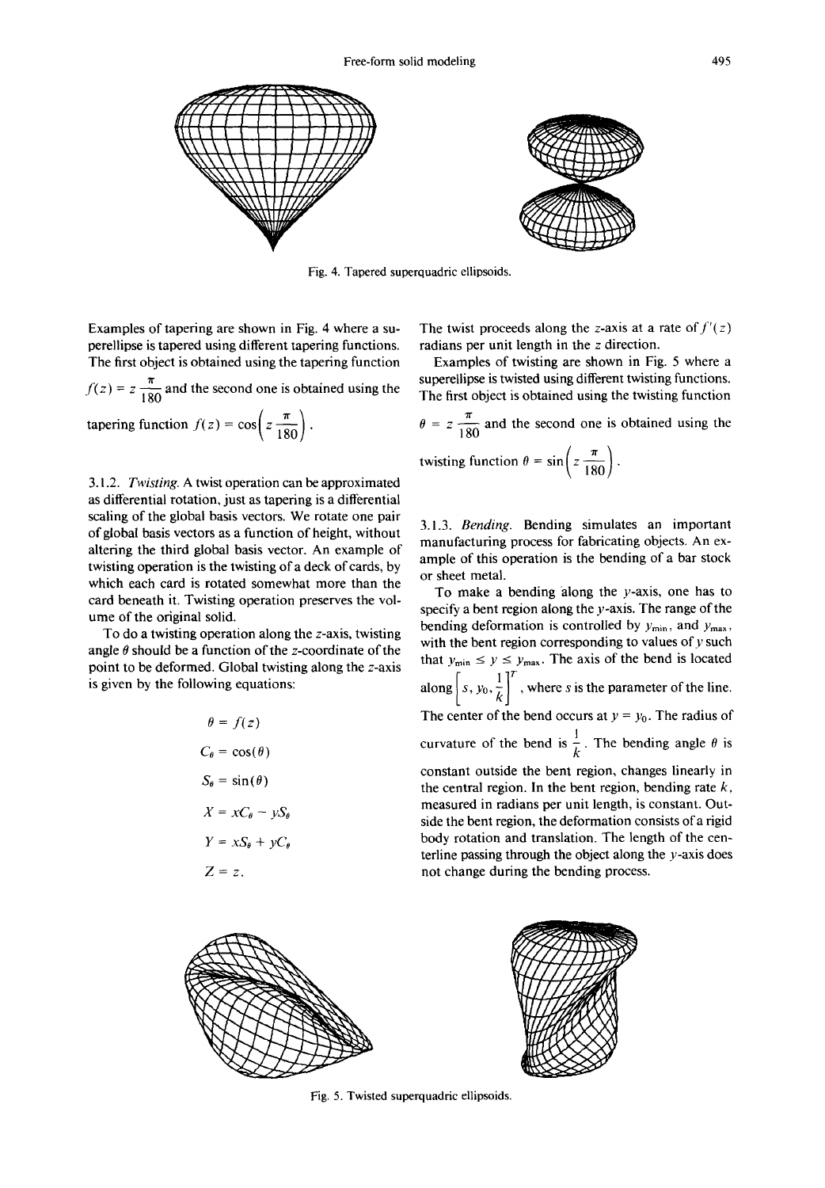

Fig. 4. Tapered superquadric ellipsoids.

Examples of tapering are shown in Fig. 4 where a superellipse is tapered using different tapering functions. The first object is obtained using the tapering function

 $f(z) = z \frac{\pi}{100}$  and the second one is obtained using the

tapering function  $f(z) = \cos\left(z \frac{\pi}{180}\right)$ .

*3. 1.2. Twisting.* A twist operation can be approximated as differential rotation, just as tapering is a differential scaling of the global basis vectors. We rotate one pair of global basis vectors as a function of height, without altering the third global basis vector. An example of twisting operation is the twisting of a deck of cards, by which each card is rotated somewhat more than the card beneath it. Twisting operation preserves the volume of the original solid.

To do a twisting operation along the z-axis, twisting angle  $\theta$  should be a function of the z-coordinate of the point to be deformed. Global twisting along the z-axis is given by the following equations:

$$
\theta = f(z)
$$
  
\n
$$
C_{\theta} = \cos(\theta)
$$
  
\n
$$
S_{\theta} = \sin(\theta)
$$
  
\n
$$
X = xC_{\theta} - yS_{\theta}
$$
  
\n
$$
Y = xS_{\theta} + yC_{\theta}
$$
  
\n
$$
Z = z
$$

The twist proceeds along the z-axis at a rate of  $f'(z)$ radians per unit length in the z direction.

Examples of twisting are shown in Fig. 5 where a superellipse is twisted using different twisting functions. The first object is obtained using the twisting function

 $\theta = z \frac{\pi}{100}$  and the second one is obtained using the twisting function  $\theta = \sin\left(z \frac{\pi}{180}\right)$ .

3.1.3. *Bending.* Bending simulates an important manufacturing process for fabricating objects. An example of this operation is the bending of a bar stock or sheet metal.

To make a bending along the  $y$ -axis, one has to specify a bent region along the  $y$ -axis. The range of the bending deformation is controlled by  $y_{min}$ , and  $y_{max}$ , with the bent region corresponding to values of  $y$  such that  $y_{min} \leq y \leq y_{max}$ . The axis of the bend is located  $a\log\left(s, y_0, \frac{1}{k}\right)^T$ , where s is the parameter of the line. The center of the bend occurs at  $y = y_0$ . The radius of curvature of the bend is  $\frac{1}{l}$ . The bending angle  $\theta$  is constant outside the bent region, changes linearly in the central region. In the bent region, bending rate  $k$ , measured in radians per unit length, is constant. Outside the bent region, the deformation consists of a rigid body rotation and translation. The length of the centerline passing through the object along the y-axis does not change during the bending process.





Fig. 5. Twisted superquadric ellipsoids.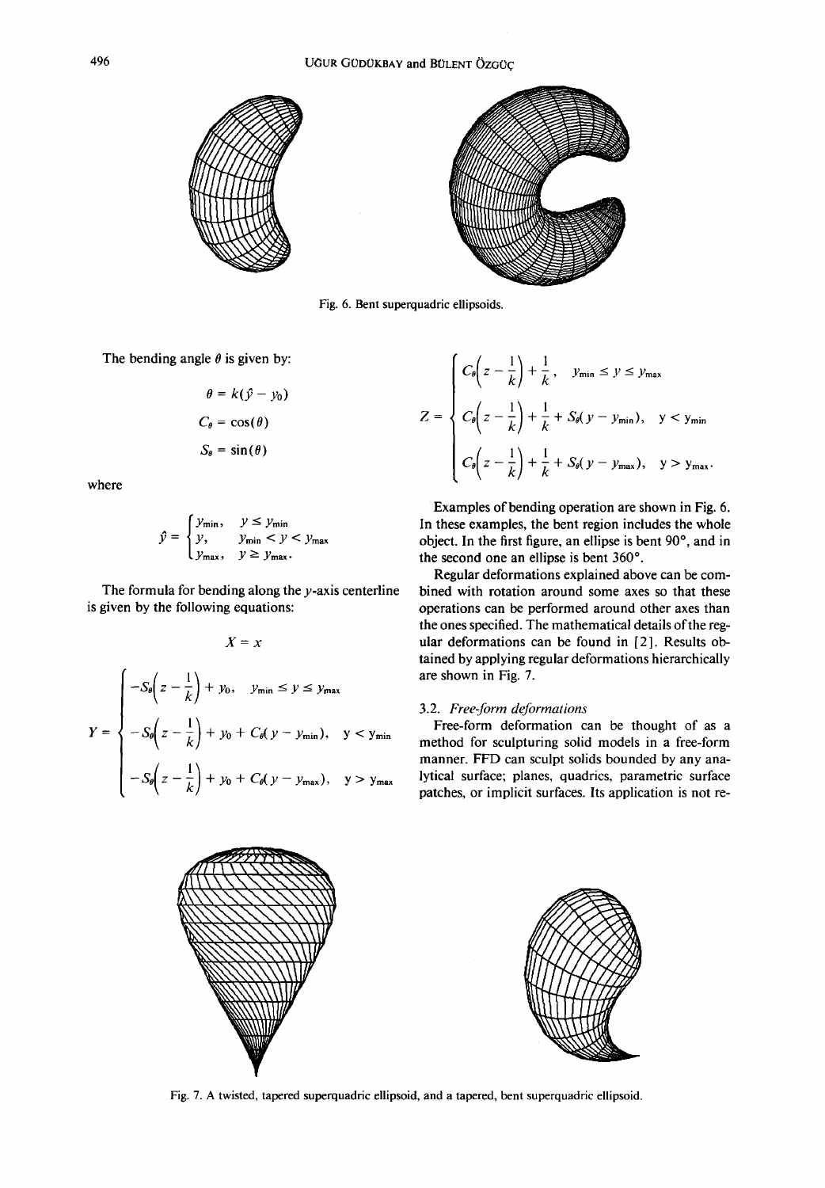



Fig. 6. Bent superquadric ellipsoids.

The bending angle  $\theta$  is given by:

$$
\theta = k(\hat{y} - y_0)
$$

$$
C_{\theta} = \cos(\theta)
$$

$$
S_{\theta} = \sin(\theta)
$$

where

$$
\hat{y} = \begin{cases} y_{\min}, & y \le y_{\min} \\ y, & y_{\min} < y < y_{\max} \\ y_{\max}, & y \ge y_{\max}. \end{cases}
$$

The formula for bending along the  $y$ -axis centerline is given by the following equations:

$$
X = x
$$
  

$$
Y = \begin{cases} -S_{\theta} \left( z - \frac{1}{k} \right) + y_0, & y_{\text{min}} \le y \le y_{\text{max}} \\ -S_{\theta} \left( z - \frac{1}{k} \right) + y_0 + C_{\theta} \left( y - y_{\text{min}} \right), & y < y_{\text{min}} \\ -S_{\theta} \left( z - \frac{1}{k} \right) + y_0 + C_{\theta} \left( y - y_{\text{max}} \right), & y > y_{\text{max}} \end{cases}
$$

$$
Z = \begin{cases} C_{\theta} \left( z - \frac{1}{k} \right) + \frac{1}{k}, & y_{\text{min}} \le y \le y_{\text{max}} \\ C_{\theta} \left( z - \frac{1}{k} \right) + \frac{1}{k} + S_{\theta} \left( y - y_{\text{min}} \right), & y < y_{\text{min}} \\ C_{\theta} \left( z - \frac{1}{k} \right) + \frac{1}{k} + S_{\theta} \left( y - y_{\text{max}} \right), & y > y_{\text{max}}. \end{cases}
$$

Examples of bending operation are shown in Fig. 6. In these examples, the bent region includes the whole object. In the first figure, an ellipse is bent 90°, and in the second one an ellipse is bent 360°.

Regular deformations explained above can be combined with rotation around some axes so that these operations can be performed around other axes than the ones specified. The mathematical details of the regular deformations can be found in [2]. Results obtained by applying regular deformations hierarchically are shown in Fig. 7.

#### 3.2. *Free-form deformations*

Free-form deformation can be thought of as a method for sculpturing solid models in a free-form manner. FFD can sculpt solids bounded by any analytical surface; planes, quadrics, parametric surface patches, or implicit surfaces. Its application is not re-





Fig. 7. A twisted, tapered superquadric ellipsoid, and a tapered, bent superquadric ellipsoid.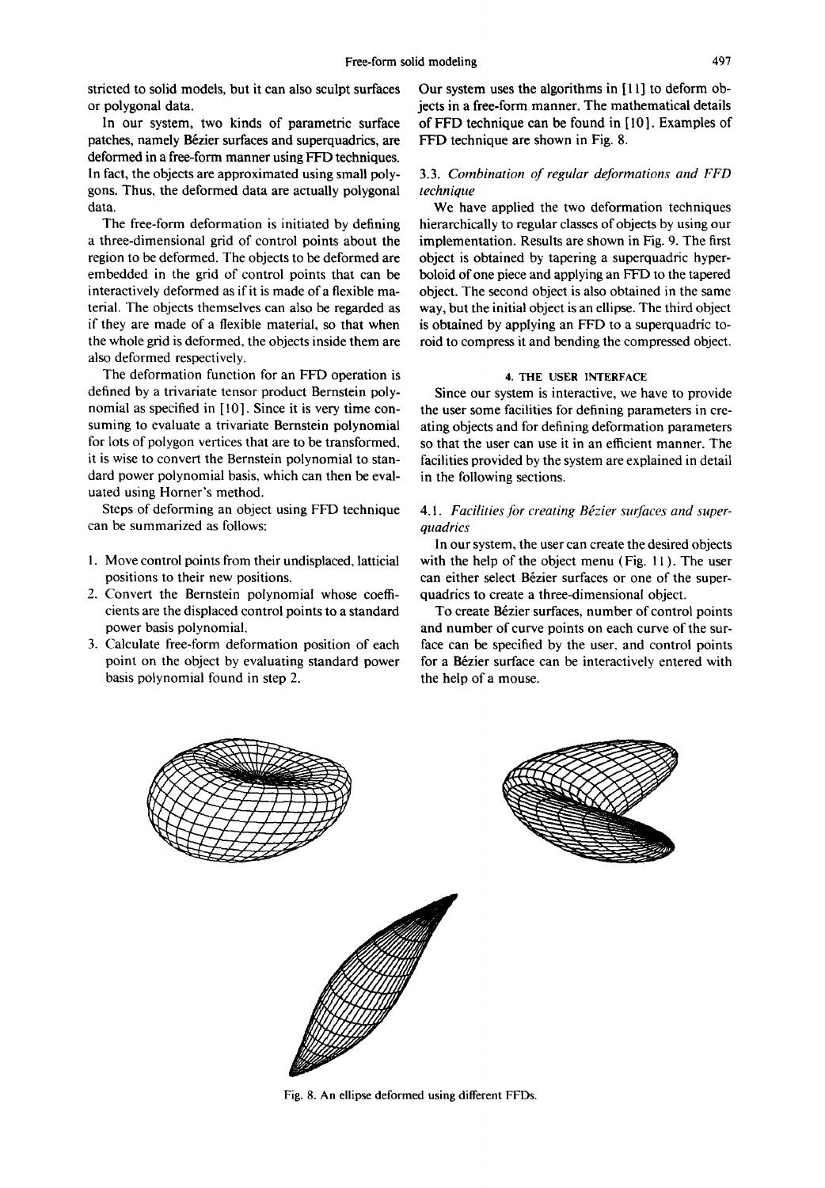stricted to solid models, but it can also sculpt surfaces or polygonal data.

In our system, two kinds of parametric surface patches, namely Bézier surfaces and superquadrics, are deformed in a free-form manner using FFD techniques. In fact, the objects are approximated using small polygons. Thus, the deformed data are actually polygonal data.

The free-form deformation is initiated by defining a three-dimensional grid of control points about the region to be deformed. The objects to be deformed are embedded in the grid of control points that can be interactively deformed as if it is made of a flexible material. The objects themselves can also be regarded as if they are made of a flexible material, so that when the whole grid is deformed, the objects inside them are also deformed respectively.

The deformation function for an FFD operation is defined by a trivariate tensor product Bernstein polynomial as specified in [10]. Since it is very time consuming to evaluate a trivariate Bernstein polynomial for lots of polygon vertices that are to be transformed, it is wise to convert the Bernstein polynomial to standard power polynomial basis, which can then be evaluated using Horner's method.

Steps of deforming an object using FFD technique can be summarized as follows:

- 1. Move control points from their undisplaced, latticial positions to their new positions.
- 2. Convert the Bernstein polynomial whose coefficients are the displaced control points to a standard power basis polynomial.
- 3. Calculate free-form deformation position of each point on the object by evaluating standard power basis polynomial found in step 2.

Our system uses the algorithms in [11] to deform objects in a free-form manner. The mathematical details of FFD technique can be found in [10]. Examples of FFD technique are shown in Fig. 8.

## 3.3. *Combination of regular deformations and FFD technique*

We have applied the two deformation techniques hierarchically to regular classes of objects by using our implementation. Results are shown in Fig. 9. The first object is obtained by tapering a superquadric hyperboloid of one piece and applying an FFD to the tapered object. The second object is also obtained in the same way, but the initial object is an ellipse. The third object is obtained by applying an FFD to a superquadric toroid to compress it and bending the compressed object.

## 4. THE USER INTERFACE

Since our system is interactive, we have to provide the user some facilities for defining parameters in creating objects and for defining deformation parameters so that the user can use it in an efficient manner. The facilities provided by the system are explained in detail in the following sections.

## 4.1. Facilities for creating Bézier surfaces and super*quadrics*

In our system, the user can create the desired objects with the help of the object menu (Fig. 11). The user can either select Bézier surfaces or one of the superquadrics to create a three-dimensional object.

To create Bézier surfaces, number of control points and number of curve points on each curve of the surface can be specified by the user, and control points for a Bézier surface can be interactively entered with the help of a mouse.



Fig. 8. An ellipse deformed using different FFDs.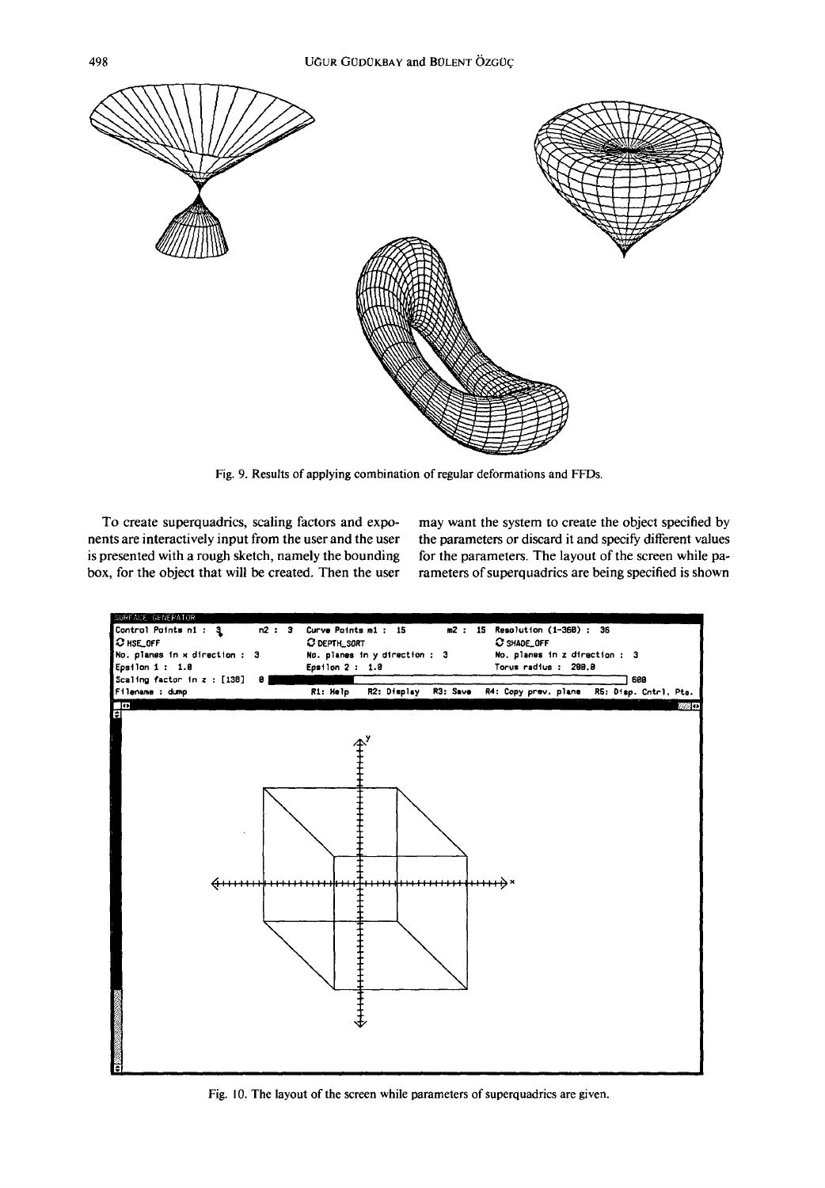

**Fig. 9. Results of applying combination of regular deformations and FFDs.** 

To create superquadrics, scaling factors and exponents are interactively input from the user and the user is presented with a rough sketch, namely the bounding box, for the object that will be created, Then the user may want the system to create the object specified by the parameters or discard it and specify different values for the parameters. The layout of the screen while parameters of superquadrics are being specified is shown



Fig. 10. The layout of the screen while parameters of superquadrics are given.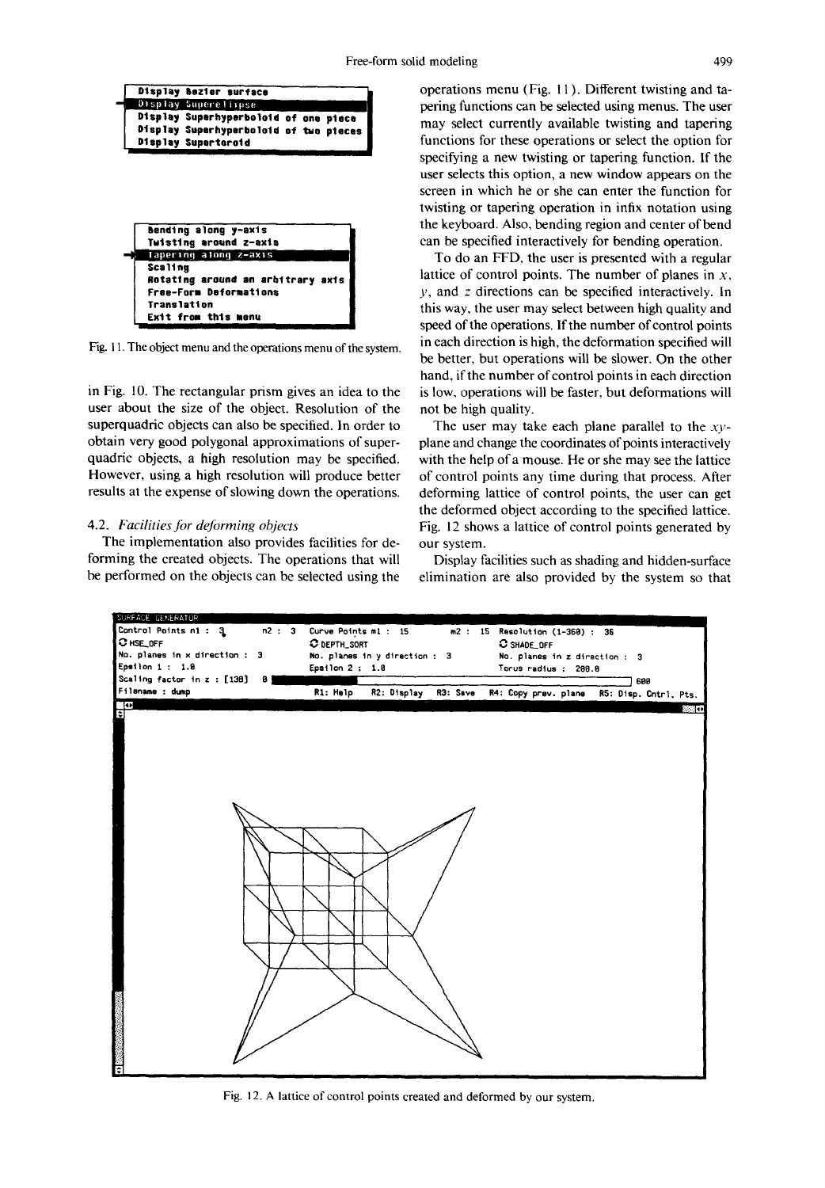|         | Display Bezier surface                    |                                        |  |  |
|---------|-------------------------------------------|----------------------------------------|--|--|
|         | Display Superellipse                      |                                        |  |  |
|         |                                           | Display Superhyperboloid of one piece  |  |  |
|         |                                           | Display Superhyperboloid of two pieces |  |  |
|         | <b>Display Supertoroid</b>                |                                        |  |  |
|         |                                           |                                        |  |  |
|         |                                           |                                        |  |  |
|         |                                           |                                        |  |  |
|         |                                           |                                        |  |  |
|         |                                           |                                        |  |  |
|         |                                           |                                        |  |  |
|         |                                           |                                        |  |  |
|         |                                           |                                        |  |  |
|         |                                           |                                        |  |  |
|         | <b>Bending along y-axis</b>               |                                        |  |  |
|         |                                           | Twisting around z-axis                 |  |  |
|         |                                           | Tapering along z-axis                  |  |  |
| Scaling |                                           |                                        |  |  |
|         |                                           | Rotating around an arbitrary axis      |  |  |
|         |                                           | Free-Form Deformations                 |  |  |
|         |                                           |                                        |  |  |
|         | <b>Translation</b><br>Exit from this menu |                                        |  |  |

Fig. 11. The object menu and the operations menu of the system.

in Fig. 10. The rectangular prism gives an idea to the user about the size of the object. Resolution of the superquadric objects can also be specified. In order to obtain very good polygonal approximations of superquadric objects, a high resolution may be specified. However, using a high resolution will produce better results at the expense of slowing down the operations.

# 4.2. *Facilities for deforming objects*

The implementation also provides facilities for deforming the created objects. The operations that will be performed on the objects can be selected using the

operations menu (Fig. 11 ). Different twisting and tapering functions can be selected using menus. The user may select currently available twisting and tapering functions for these operations or select the option for specifying a new twisting or tapering function. If the user selects this option, a new window appears on the screen in which he or she can enter the function for twisting or tapering operation in infix notation using the keyboard. Also, bending region and center of bend can be specified interactively for bending operation.

To do an FFD, the user is presented with a regular lattice of control points. The number of planes in *x,*  y, and z directions can be specified interactively. In this way, the user may select between high quality and speed of the operations. If the number of control points in each direction is high, the deformation specified will be better, but operations will be slower. On the other hand, if the number of control points in each direction is low, operations will be faster, but deformations will not be high quality.

The user may take each plane parallel to the  $xy$ plane and change the coordinates of points interactively with the help of a mouse. He or she may see the lattice of control points any time during that process. After deforming lattice of control points, the user can get the deformed object according to the specified lattice. Fig. 12 shows a lattice of control points generated by our system.

Display facilities such as shading and hidden-surface elimination are also provided by the system so that



Fig. 12. A lattice of control points created and deformed by our system.